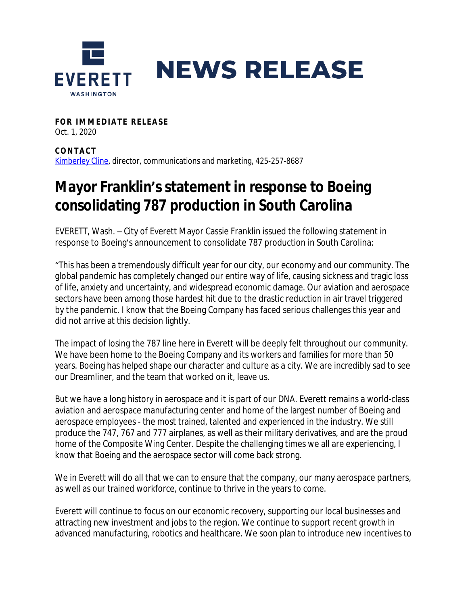

**FOR IMMEDIATE RELEASE** Oct. 1, 2020

**CONTAC T** [Kimberley Cline,](mailto:kcline@everettwa.gov) director, communications and marketing, 425-257-8687

## **Mayor Franklin's statement in response to Boeing consolidating 787 production in South Carolina**

EVERETT, Wash. – City of Everett Mayor Cassie Franklin issued the following statement in response to Boeing's announcement to consolidate 787 production in South Carolina:

"This has been a tremendously difficult year for our city, our economy and our community. The global pandemic has completely changed our entire way of life, causing sickness and tragic loss of life, anxiety and uncertainty, and widespread economic damage. Our aviation and aerospace sectors have been among those hardest hit due to the drastic reduction in air travel triggered by the pandemic. I know that the Boeing Company has faced serious challenges this year and did not arrive at this decision lightly.

The impact of losing the 787 line here in Everett will be deeply felt throughout our community. We have been home to the Boeing Company and its workers and families for more than 50 years. Boeing has helped shape our character and culture as a city. We are incredibly sad to see our Dreamliner, and the team that worked on it, leave us.

But we have a long history in aerospace and it is part of our DNA. Everett remains a world-class aviation and aerospace manufacturing center and home of the largest number of Boeing and aerospace employees - the most trained, talented and experienced in the industry. We still produce the 747, 767 and 777 airplanes, as well as their military derivatives, and are the proud home of the Composite Wing Center. Despite the challenging times we all are experiencing, I know that Boeing and the aerospace sector will come back strong.

We in Everett will do all that we can to ensure that the company, our many aerospace partners, as well as our trained workforce, continue to thrive in the years to come.

Everett will continue to focus on our economic recovery, supporting our local businesses and attracting new investment and jobs to the region. We continue to support recent growth in advanced manufacturing, robotics and healthcare. We soon plan to introduce new incentives to